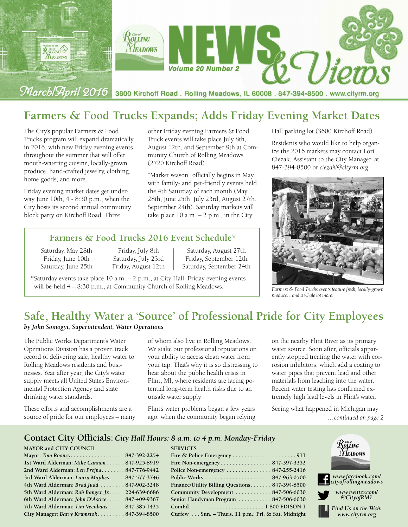

# **Farmers & Food Trucks Expands; Adds Friday Evening Market Dates**

The City's popular Farmers & Food Trucks program will expand dramatically in 2016, with new Friday evening events throughout the summer that will offer mouth-watering cuisine, locally-grown produce, hand-crafted jewelry, clothing, home goods, and more.

Friday evening market dates get underway June 10th, 4 - 8:30 p.m., when the City hosts its second annual community block party on Kirchoff Road. Three

other Friday evening Farmers & Food Truck events will take place July 8th, August 12th, and September 9th at Community Church of Rolling Meadows (2720 Kirchoff Road).

"Market season" officially begins in May, with family- and pet-friendly events held the 4th Saturday of each month (May 28th, June 25th, July 23rd, August 27th, September 24th). Saturday markets will take place  $10$  a.m.  $-2$  p.m., in the City

### **Farmers & Food Trucks 2016 Event Schedule\***

Saturday, May 28th | Friday, July 8th | Saturday, August 27th Friday, June 10th Saturday, July 23rd Friday, September 12th Saturday, June 25th Friday, August 12th Saturday, September 24th Saturday, June 25th Friday, August 12th Saturday, September 24th

\*Saturday events take place 10 a.m. – 2 p.m., at City Hall. Friday evening events will be held 4 – 8:30 p.m., at Community Church of Rolling Meadows.

Hall parking lot (3600 Kirchoff Road).

Residents who would like to help organize the 2016 markets may contact Lori Ciezak, Assistant to the City Manager, at 847-394-8500 or *ciezakl@cityrm.org*.



*Farmers & Food Trucks events feature fresh, locally-grown produce…and a whole lot more.*

# **Safe, Healthy Water a 'Source' of Professional Pride for City Employees**

#### *by John Somogyi, Superintendent, Water Operations*

The Public Works Department's Water Operations Division has a proven track record of delivering safe, healthy water to Rolling Meadows residents and businesses. Year after year, the City's water supply meets all United States Environmental Protection Agency and state drinking water standards.

These efforts and accomplishments are a source of pride for our employees – many

of whom also live in Rolling Meadows. We stake our professional reputations on your ability to access clean water from your tap. That's why it is so distressing to hear about the public health crisis in Flint, MI, where residents are facing potential long-term health risks due to an unsafe water supply.

Flint's water problems began a few years ago, when the community began relying

**SERVICES**

on the nearby Flint River as its primary water source. Soon after, officials apparently stopped treating the water with corrosion inhibitors, which add a coating to water pipes that prevent lead and other materials from leaching into the water. Recent water testing has confirmed extremely high lead levels in Flint's water.

Seeing what happened in Michigan may *…continued on page 2*

#### **Contact City Officials:** *City Hall Hours: 8 a.m. to 4 p.m. Monday-Friday*

#### **MAYOR and CITY COUNCIL**

| Mayor: Tom Rooney. 847-392-2254                 |  |
|-------------------------------------------------|--|
| 1st Ward Alderman: Mike Cannon 847-925-8919     |  |
| 2nd Ward Alderman: Len Prejna 847-776-9442      |  |
| 3rd Ward Alderman: Laura Majikes 847-577-3746   |  |
| 4th Ward Alderman: Brad Judd  847-902-3248      |  |
| 5th Ward Alderman: Rob Banger, Jr. 224-639-6686 |  |
| 6th Ward Alderman: John D'Astice 847-409-9367   |  |
| 7th Ward Alderman: Tim Veenbaas  847-385-1425   |  |
| City Manager: Barry Krumstok 847-394-8500       |  |

| Police Non-emergency $\dots \dots \dots \dots \dots 847-255-2416$ |
|-------------------------------------------------------------------|
|                                                                   |
| Finance/Utility Billing Questions 847-394-8500                    |
| Community Development  847-506-6030                               |
| Senior Handyman Program  847-506-6030                             |
|                                                                   |
| Curfew Sun. - Thurs. 11 p.m.; Fri. & Sat. Midnight                |

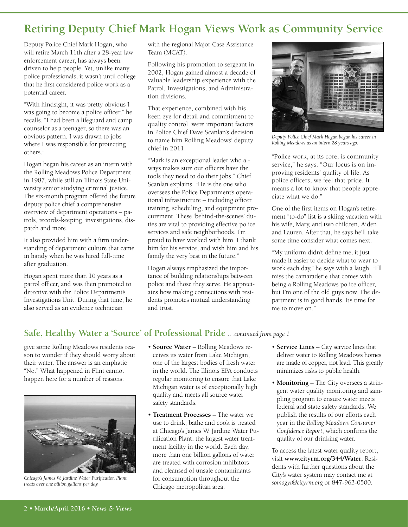# **Retiring Deputy Chief Mark Hogan Views Work as Community Service**

Deputy Police Chief Mark Hogan, who will retire March 11th after a 28-year law enforcement career, has always been driven to help people. Yet, unlike many police professionals, it wasn't until college that he first considered police work as a potential career.

"With hindsight, it was pretty obvious I was going to become a police officer," he recalls. "I had been a lifeguard and camp counselor as a teenager, so there was an obvious pattern. I was drawn to jobs where I was responsible for protecting others."

Hogan began his career as an intern with the Rolling Meadows Police Department in 1987, while still an Illinois State University senior studying criminal justice. The six-month program offered the future deputy police chief a comprehensive overview of department operations – patrols, records-keeping, investigations, dispatch and more.

It also provided him with a firm understanding of department culture that came in handy when he was hired full-time after graduation.

Hogan spent more than 10 years as a patrol officer, and was then promoted to detective with the Police Department's Investigations Unit. During that time, he also served as an evidence technician

with the regional Major Case Assistance Team (MCAT).

Following his promotion to sergeant in 2002, Hogan gained almost a decade of valuable leadership experience with the Patrol, Investigations, and Administration divisions.

That experience, combined with his keen eye for detail and commitment to quality control, were important factors in Police Chief Dave Scanlan's decision to name him Rolling Meadows' deputy chief in 2011.

"Mark is an exceptional leader who always makes sure our officers have the tools they need to do their jobs," Chief Scanlan explains. "He is the one who oversees the Police Department's operational infrastructure – including officer training, scheduling, and equipment procurement. These 'behind-the-scenes' duties are vital to providing effective police services and safe neighborhoods. I'm proud to have worked with him. I thank him for his service, and wish him and his family the very best in the future."

Hogan always emphasized the importance of building relationships between police and those they serve. He appreciates how making connections with residents promotes mutual understanding and trust.



*Deputy Police Chief Mark Hogan began his career in Rolling Meadows as an intern 28 years ago.*

"Police work, at its core, is community service," he says. "Our focus is on improving residents' quality of life. As police officers, we feel that pride. It means a lot to know that people appreciate what we do."

One of the first items on Hogan's retirement "to-do" list is a skiing vacation with his wife, Mary, and two children, Aiden and Lauren. After that, he says he'll take some time consider what comes next.

"My uniform didn't define me, it just made it easier to decide what to wear to work each day," he says with a laugh. "I'll miss the camaraderie that comes with being a Rolling Meadows police officer, but I'm one of the old guys now. The department is in good hands. It's time for me to move on."

## **Safe, Healthy Water a 'Source' of Professional Pride** *…continued from page 1*

give some Rolling Meadows residents reason to wonder if they should worry about their water. The answer is an emphatic "No." What happened in Flint cannot happen here for a number of reasons:



*Chicago's James W. Jardine Water Purification Plant treats over one billion gallons per day.*

- **Source Water** Rolling Meadows receives its water from Lake Michigan, one of the largest bodies of fresh water in the world. The Illinois EPA conducts regular monitoring to ensure that Lake Michigan water is of exceptionally high quality and meets all source water safety standards.
- **Treatment Processes** The water we use to drink, bathe and cook is treated at Chicago's James W. Jardine Water Purification Plant, the largest water treatment facility in the world. Each day, more than one billion gallons of water are treated with corrosion inhibitors and cleansed of unsafe contaminants for consumption throughout the Chicago metropolitan area.
- **Service Lines** City service lines that deliver water to Rolling Meadows homes are made of copper, not lead. This greatly minimizes risks to public health.
- **Monitoring** The City oversees a stringent water quality monitoring and sampling program to ensure water meets federal and state safety standards. We publish the results of our efforts each year in the *Rolling Meadows Consumer Confidence Report*, which confirms the quality of our drinking water.

To access the latest water quality report, visit **www.cityrm.org/344/Water**. Residents with further questions about the City's water system may contact me at *somogyi@cityrm.org* or 847-963-0500.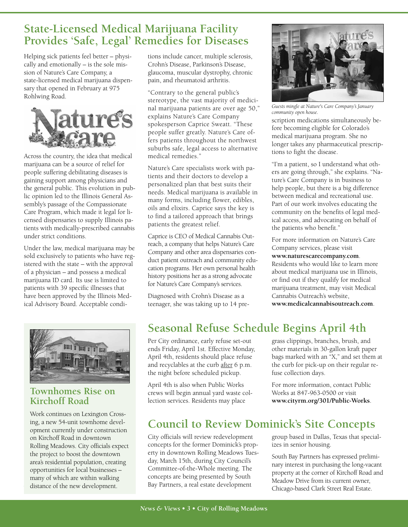## **State-Licensed Medical Marijuana Facility Provides 'Safe, Legal' Remedies for Diseases**

Helping sick patients feel better – physically and emotionally – is the sole mission of Nature's Care Company, a state-licensed medical marijuana dispensary that opened in February at 975 Rohlwing Road.



Across the country, the idea that medical marijuana can be a source of relief for people suffering debilitating diseases is gaining support among physicians and the general public. This evolution in public opinion led to the Illinois General Assembly's passage of the Compassionate Care Program, which made it legal for licensed dispensaries to supply Illinois patients with medically-prescribed cannabis under strict conditions.

Under the law, medical marijuana may be sold exclusively to patients who have registered with the state – with the approval of a physician – and possess a medical marijuana ID card. Its use is limited to patients with 39 specific illnesses that have been approved by the Illinois Medical Advisory Board. Acceptable condi-



## **Townhomes Rise on Kirchoff Road**

distance of the new development. Work continues on Lexington Crossing, a new 54-unit townhome development currently under construction on Kirchoff Road in downtown Rolling Meadows. City officials expect the project to boost the downtown area's residential population, creating opportunities for local businesses – many of which are within walking

tions include cancer, multiple sclerosis, Crohn's Disease, Parkinson's Disease, glaucoma, muscular dystrophy, chronic pain, and rheumatoid arthritis.

"Contrary to the general public's stereotype, the vast majority of medicinal marijuana patients are over age 50," explains Nature's Care Company spokesperson Caprice Sweatt. "These people suffer greatly. Nature's Care offers patients throughout the northwest suburbs safe, legal access to alternative medical remedies<sup>"</sup>

Nature's Care specialists work with patients and their doctors to develop a personalized plan that best suits their needs. Medical marijuana is available in many forms, including flower, edibles, oils and elixirs. Caprice says the key is to find a tailored approach that brings patients the greatest relief.

Caprice is CEO of Medical Cannabis Outreach, a company that helps Nature's Care Company and other area dispensaries conduct patient outreach and community education programs. Her own personal health history positions her as a strong advocate for Nature's Care Company's services.

Diagnosed with Crohn's Disease as a teenager, she was taking up to 14 pre-



*Guests mingle at Nature's Care Company's January community open house.*

scription medications simultaneously before becoming eligible for Colorado's medical marijuana program. She no longer takes any pharmaceutical prescriptions to fight the disease.

"I'm a patient, so I understand what others are going through," she explains. "Nature's Care Company is in business to help people, but there is a big difference between medical and recreational use. Part of our work involves educating the community on the benefits of legal medical access, and advocating on behalf of the patients who benefit."

For more information on Nature's Care Company services, please visit **www.naturescarecompany.com**. Residents who would like to learn more about medical marijuana use in Illinois, or find out if they qualify for medical marijuana treatment, may visit Medical Cannabis Outreach's website, **www.medicalcannabisoutreach.com**.

# **Seasonal Refuse Schedule Begins April 4th**

Per City ordinance, early refuse set-out ends Friday, April 1st. Effective Monday, April 4th, residents should place refuse and recyclables at the curb after 6 p.m. the night before scheduled pickup.

crews will begin annual yard waste collection services. Residents may place

grass clippings, branches, brush, and other materials in 30-gallon kraft paper bags marked with an "X," and set them at the curb for pick-up on their regular refuse collection days.

For more information, contact Public Works at 847-963-0500 or visit **www.cityrm.org/301/Public-Works**.

# **Council to Review Dominick's Site Concepts**

City officials will review redevelopment concepts for the former Dominick's property in downtown Rolling Meadows Tuesday, March 15th, during City Council's Committee-of-the-Whole meeting. The concepts are being presented by South Bay Partners, a real estate development

group based in Dallas, Texas that specializes in senior housing.

South Bay Partners has expressed preliminary interest in purchasing the long-vacant property at the corner of Kirchoff Road and Meadow Drive from its current owner, Chicago-based Clark Street Real Estate.

# April 4th is also when Public Works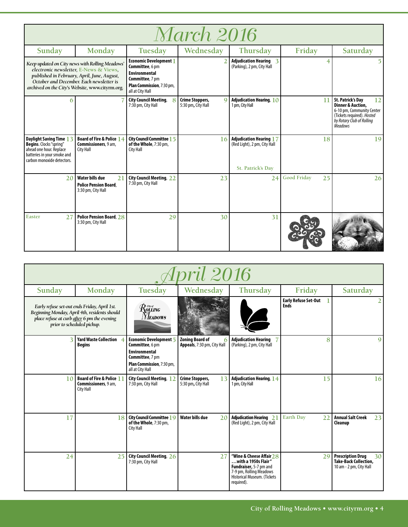| <i>March 2016</i>                                                                                                                                        |                                                                                                                                   |                                                                                                                                                             |                                                   |                                                                              |                          |                                                                                                                                                                          |  |  |
|----------------------------------------------------------------------------------------------------------------------------------------------------------|-----------------------------------------------------------------------------------------------------------------------------------|-------------------------------------------------------------------------------------------------------------------------------------------------------------|---------------------------------------------------|------------------------------------------------------------------------------|--------------------------|--------------------------------------------------------------------------------------------------------------------------------------------------------------------------|--|--|
| Sunday                                                                                                                                                   | Monday                                                                                                                            | Tuesday                                                                                                                                                     | Wednesday                                         | <b>Thursday</b>                                                              | Friday                   | Saturday                                                                                                                                                                 |  |  |
| Keep updated on City news with Rolling Meadows'<br>archived on the City's Website, www.cityrm.org.                                                       | electronic newsletter, E-News & Views,<br>published in February, April, June, August,<br>October and December. Each newsletter is | <b>Economic Development</b> 1<br>Committee, 6 pm<br><b>Environmental</b><br><b>Committee, 7 pm</b><br><b>Plan Commission</b> , 7:30 pm,<br>all at City Hall |                                                   | <b>Adjudication Hearing 3</b><br>(Parking), 2 pm, City Hall                  | 4                        |                                                                                                                                                                          |  |  |
| 6                                                                                                                                                        |                                                                                                                                   | <b>City Council Meeting,</b><br>8<br>7:30 pm, City Hall                                                                                                     | Crime Stoppers,<br>$\Omega$<br>5:30 pm, City Hall | Adjudication Hearing, $10$<br>1 pm, City Hall                                | 11                       | <b>St. Patrick's Day</b><br>12<br><b>Dinner &amp; Auction.</b><br>6-10 pm, Community Center<br>(Tickets required). Hosted<br>by Rotary Club of Rolling<br><b>Meadows</b> |  |  |
| <b>Daylight Saving Time 13</b><br><b>Begins.</b> Clocks "spring"<br>ahead one hour. Replace<br>batteries in your smoke and<br>carbon monoxide detectors. | Board of Fire & Police 14<br>Commissioners, 9 am,<br>City Hall                                                                    | <b>City Council Committee 1 5</b><br>of the Whole, 7:30 pm,<br>City Hall                                                                                    | 16                                                | Adjudication Hearing 17<br>(Red Light), 2 pm, City Hall<br>St. Patrick's Day | 18                       | 9                                                                                                                                                                        |  |  |
| 20                                                                                                                                                       | Water bills due<br>21<br><b>Police Pension Board.</b><br>3:30 pm, City Hall                                                       | City Council Meeting, 22<br>7:30 pm, City Hall                                                                                                              | 23                                                | 24                                                                           | <b>Good Friday</b><br>25 | 26                                                                                                                                                                       |  |  |
| <b>Easter</b><br>27                                                                                                                                      | <b>Police Pension Board, 28</b><br>3:30 pm, City Hall                                                                             | 29                                                                                                                                                          | 30                                                | 31                                                                           |                          |                                                                                                                                                                          |  |  |

| <i>April 2016</i> |                                                                                                                                                                            |                                                                                                                                       |                                                       |                                                                                                                                                     |                                            |                                                                                           |  |  |
|-------------------|----------------------------------------------------------------------------------------------------------------------------------------------------------------------------|---------------------------------------------------------------------------------------------------------------------------------------|-------------------------------------------------------|-----------------------------------------------------------------------------------------------------------------------------------------------------|--------------------------------------------|-------------------------------------------------------------------------------------------|--|--|
| Sunday            | Monday                                                                                                                                                                     | Tuesday                                                                                                                               | Wednesday                                             | Thursday                                                                                                                                            | Friday                                     | Saturday                                                                                  |  |  |
|                   | Early refuse set-out ends Friday, April 1st.<br>Beginning Monday, April 4th, residents should<br>place refuse at curb after 6 pm the evening<br>prior to scheduled pickup. | $\mathcal{R}$ ors $\sigma$<br><b>Neadows</b>                                                                                          |                                                       |                                                                                                                                                     | <b>Early Refuse Set-Out</b><br><b>Ends</b> |                                                                                           |  |  |
|                   | Yard Waste Collection 4<br><b>Begins</b>                                                                                                                                   | Economic Development 5<br>Committee, 6 pm<br><b>Environmental</b><br>Committee, 7 pm<br>Plan Commission, 7:30 pm,<br>all at City Hall | <b>Zoning Board of</b><br>Appeals, 7:30 pm, City Hall | <b>Adjudication Hearing</b><br>(Parking), 2 pm, City Hall                                                                                           | 8                                          | 9                                                                                         |  |  |
| 10                | <b>Board of Fire &amp; Police 11</b><br>Commissioners, 9 am,<br>City Hall                                                                                                  | <b>City Council Meeting, 12</b><br>7:30 pm, City Hall                                                                                 | Crime Stoppers,<br>13<br>5:30 pm, City Hall           | <b>Adjudication Hearing, 14</b><br>1 pm, City Hall                                                                                                  | 15                                         | 16                                                                                        |  |  |
| 17                | 18                                                                                                                                                                         | <b>City Council Committee 19</b><br>of the Whole, 7:30 pm,<br><b>City Hall</b>                                                        | Water bills due<br>20                                 | <b>Adjudication Hearing 21</b><br>(Red Light), 2 pm, City Hall                                                                                      | <b>Earth Day</b><br>22                     | <b>Annual Salt Creek</b><br>23<br>Cleanup                                                 |  |  |
| 24                | 25                                                                                                                                                                         | City Council Meeting, 26<br>7:30 pm, City Hall                                                                                        | 27                                                    | "Wine & Cheese Affair $28$<br>with a 1950s Flair"<br>Fundraiser, 5-7 pm and<br>7-9 pm, Rolling Meadows<br>Historical Museum. (Tickets<br>required). | 29                                         | <b>Prescription Drug</b><br>30<br><b>Take-Back Collection,</b><br>10 am - 2 pm, City Hall |  |  |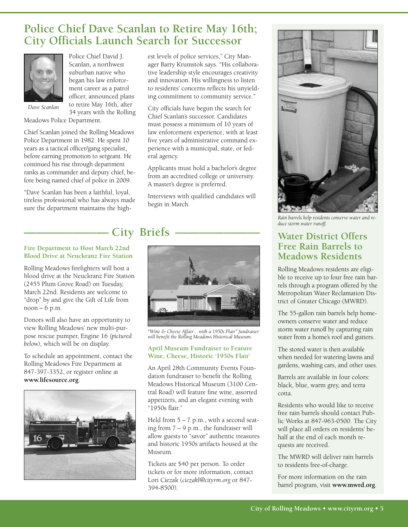## **Police Chief Dave Scanlan to Retire May 16th; City Officials Launch Search for Successor**



Police Chief David J. Scanlan, a northwest suburban native who began his law enforcement career as a patrol officer, announced plans to retire May 16th, after 34 years with the Rolling

*Dave Scanlan*

Meadows Police Department.

Chief Scanlan joined the Rolling Meadows Police Department in 1982. He spent 10 years as a tactical officer/gang specialist, before earning promotion to sergeant. He continued his rise through department ranks as commander and deputy chief, before being named chief of police in 2009.

"Dave Scanlan has been a faithful, loyal, tireless professional who has always made sure the department maintains the highest levels of police services," City Manager Barry Krumstok says. "His collaborative leadership style encourages creativity and innovation. His willingness to listen to residents' concerns reflects his unyielding commitment to community service."

City officials have begun the search for Chief Scanlan's successor. Candidates must possess a minimum of 10 years of law enforcement experience, with at least five years of administrative command experience with a municipal, state, or federal agency.

Applicants must hold a bachelor's degree from an accredited college or university. A master's degree is preferred.

Interviews with qualified candidates will begin in March.

# **- City Briefs**  $\cdot$

#### **Fire Department to Host March 22nd Blood Drive at Neuckranz Fire Station**

Rolling Meadows firefighters will host a blood drive at the Neuckranz Fire Station (2455 Plum Grove Road) on Tuesday, March 22nd. Residents are welcome to "drop" by and give the Gift of Life from  $noon - 6 p.m.$ 

Donors will also have an opportunity to view Rolling Meadows' new multi-purpose rescue pumper, Engine 16 *(pictured below),* which will be on display.

To schedule an appointment, contact the Rolling Meadows Fire Department at 847-397-3352, or register online at **www.lifesource.org**.





*"Wine & Cheese Affair…with a 1950s Flair" fundraiser will benefit the Rolling Meadows Historical Museum.*

#### **April Museum Fundraiser to Feature Wine, Cheese, Historic '1950s Flair'**

An April 28th Community Events Foundation fundraiser to benefit the Rolling Meadows Historical Museum (3100 Central Road) will feature fine wine, assorted appetizers, and an elegant evening with "1950s flair."

Held from  $5 - 7$  p.m., with a second seating from  $7 - 9$  p.m., the fundraiser will allow guests to "savor" authentic treasures and historic 1950s artifacts housed at the Museum.

Tickets are \$40 per person. To order tickets or for more information, contact Lori Ciezak (*ciezakl@cityrm.org* or 847- 394-8500).



*Rain barrels help residents conserve water and reduce storm water runoff.*

## **Water District Offers Free Rain Barrels to Meadows Residents**

Rolling Meadows residents are eligible to receive up to four free rain barrels through a program offered by the Metropolitan Water Reclamation District of Greater Chicago (MWRD).

The 55-gallon rain barrels help homeowners conserve water and reduce storm water runoff by capturing rain water from a home's roof and gutters.

The stored water is then available when needed for watering lawns and gardens, washing cars, and other uses.

Barrels are available in four colors: black, blue, warm grey, and terra cotta.

Residents who would like to receive free rain barrels should contact Public Works at 847-963-0500. The City will place all orders on residents' behalf at the end of each month requests are received.

The MWRD will deliver rain barrels to residents free-of-charge.

For more information on the rain barrel program, visit **www.mwrd.org**.